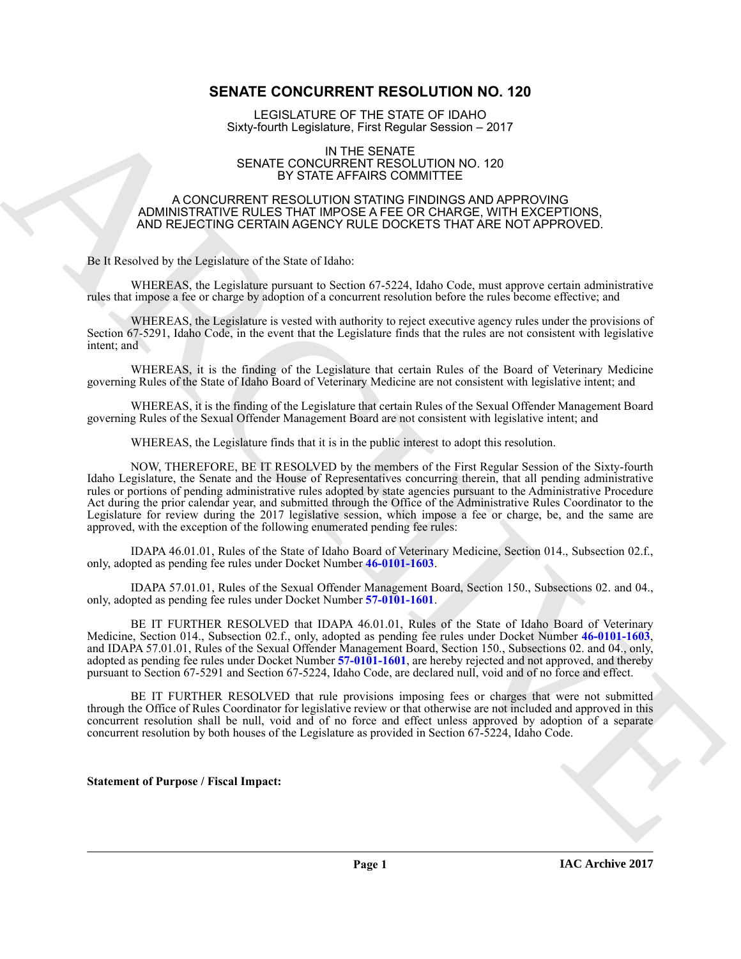# **SENATE CONCURRENT RESOLUTION NO. 120**

LEGISLATURE OF THE STATE OF IDAHO Sixty-fourth Legislature, First Regular Session – 2017

#### IN THE SENATE SENATE CONCURRENT RESOLUTION NO. 120 BY STATE AFFAIRS COMMITTEE

### A CONCURRENT RESOLUTION STATING FINDINGS AND APPROVING ADMINISTRATIVE RULES THAT IMPOSE A FEE OR CHARGE, WITH EXCEPTIONS, AND REJECTING CERTAIN AGENCY RULE DOCKETS THAT ARE NOT APPROVED.

Be It Resolved by the Legislature of the State of Idaho:

WHEREAS, the Legislature pursuant to Section 67-5224, Idaho Code, must approve certain administrative rules that impose a fee or charge by adoption of a concurrent resolution before the rules become effective; and

WHEREAS, the Legislature is vested with authority to reject executive agency rules under the provisions of Section 67-5291, Idaho Code, in the event that the Legislature finds that the rules are not consistent with legislative intent; and

WHEREAS, it is the finding of the Legislature that certain Rules of the Board of Veterinary Medicine governing Rules of the State of Idaho Board of Veterinary Medicine are not consistent with legislative intent; and

WHEREAS, it is the finding of the Legislature that certain Rules of the Sexual Offender Management Board governing Rules of the Sexual Offender Management Board are not consistent with legislative intent; and

WHEREAS, the Legislature finds that it is in the public interest to adopt this resolution.

EMPLOID AND THE SIGNATURE OF THE STATE OF DUANNON THE SAME CONDUCTED NOT CONSULTED AND SERVICE CONTROLL INTO A 120 SERVICE OF THE STATE AREA COMMUTTEE AND A CHOICH OF THE STATE AREA CONDUCTED AT A CHOICH OF THE STATE AREA NOW, THEREFORE, BE IT RESOLVED by the members of the First Regular Session of the Sixty-fourth Idaho Legislature, the Senate and the House of Representatives concurring therein, that all pending administrative rules or portions of pending administrative rules adopted by state agencies pursuant to the Administrative Procedure Act during the prior calendar year, and submitted through the Office of the Administrative Rules Coordinator to the Legislature for review during the 2017 legislative session, which impose a fee or charge, be, and the same are approved, with the exception of the following enumerated pending fee rules:

IDAPA 46.01.01, Rules of the State of Idaho Board of Veterinary Medicine, Section 014., Subsection 02.f., only, adopted as pending fee rules under Docket Number **46-0101-1603**.

IDAPA 57.01.01, Rules of the Sexual Offender Management Board, Section 150., Subsections 02. and 04., only, adopted as pending fee rules under Docket Number **57-0101-1601**.

BE IT FURTHER RESOLVED that IDAPA 46.01.01, Rules of the State of Idaho Board of Veterinary Medicine, Section 014., Subsection 02.f., only, adopted as pending fee rules under Docket Number **46-0101-1603**, and IDAPA 57.01.01, Rules of the Sexual Offender Management Board, Section 150., Subsections 02. and 04., only, adopted as pending fee rules under Docket Number **57-0101-1601**, are hereby rejected and not approved, and thereby pursuant to Section 67-5291 and Section 67-5224, Idaho Code, are declared null, void and of no force and effect.

BE IT FURTHER RESOLVED that rule provisions imposing fees or charges that were not submitted through the Office of Rules Coordinator for legislative review or that otherwise are not included and approved in this concurrent resolution shall be null, void and of no force and effect unless approved by adoption of a separate concurrent resolution by both houses of the Legislature as provided in Section 67-5224, Idaho Code.

### **Statement of Purpose / Fiscal Impact:**